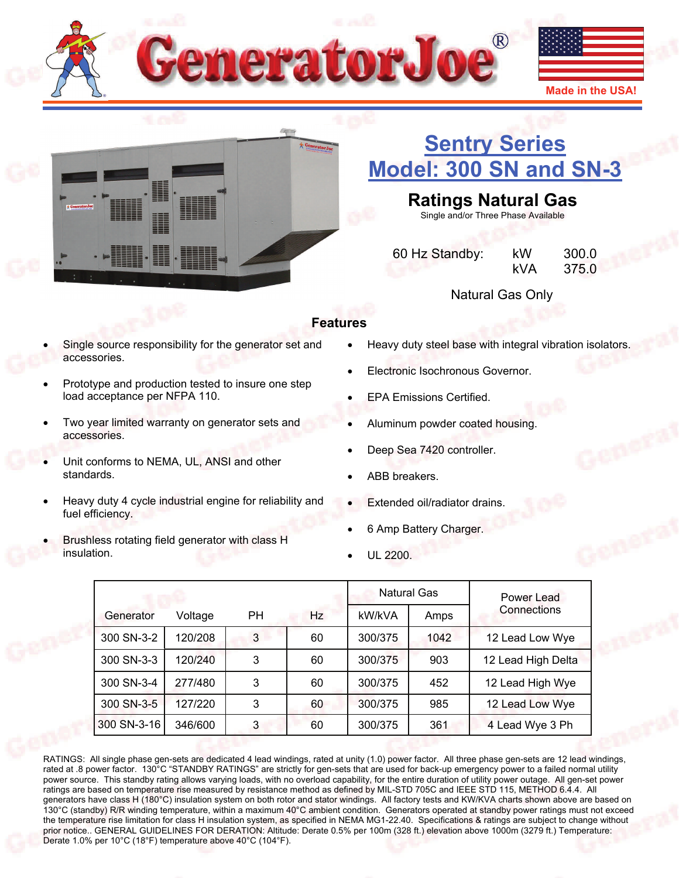



## **[Sentry Series](http://www.generatorjoe.net/product.asp?0=0&1=0&3=4372)  [Model: 300 SN and SN-3](http://www.generatorjoe.net/product.asp?0=0&1=0&3=4372)**

## **Ratings Natural Gas**

Single and/or Three Phase Available

 60 Hz Standby: kW 300.0 kVA 375.0

Natural Gas Only

## **Features**

- Single source responsibility for the generator set and accessories.
- Prototype and production tested to insure one step load acceptance per NFPA 110.
- Two year limited warranty on generator sets and accessories.
- Unit conforms to NEMA, UL, ANSI and other standards.
- Heavy duty 4 cycle industrial engine for reliability and fuel efficiency.
- Brushless rotating field generator with class H insulation.
- Heavy duty steel base with integral vibration isolators.
- Electronic Isochronous Governor.
- EPA Emissions Certified.
- Aluminum powder coated housing.
- Deep Sea 7420 controller.
- ABB breakers.
- Extended oil/radiator drains.
- 6 Amp Battery Charger.
- UL 2200.

|             |         |           |    |         | Natural Gas | Power Lead         |
|-------------|---------|-----------|----|---------|-------------|--------------------|
| Generator   | Voltage | <b>PH</b> | Hz | kW/kVA  | Amps        | Connections        |
| 300 SN-3-2  | 120/208 | 3         | 60 | 300/375 | 1042        | 12 Lead Low Wye    |
| 300 SN-3-3  | 120/240 | 3         | 60 | 300/375 | 903         | 12 Lead High Delta |
| 300 SN-3-4  | 277/480 | 3         | 60 | 300/375 | 452         | 12 Lead High Wye   |
| 300 SN-3-5  | 127/220 | 3         | 60 | 300/375 | 985         | 12 Lead Low Wye    |
| 300 SN-3-16 | 346/600 | 3         | 60 | 300/375 | 361         | 4 Lead Wye 3 Ph    |

RATINGS: All single phase gen-sets are dedicated 4 lead windings, rated at unity (1.0) power factor. All three phase gen-sets are 12 lead windings, rated at .8 power factor. 130°C "STANDBY RATINGS" are strictly for gen-sets that are used for back-up emergency power to a failed normal utility power source. This standby rating allows varying loads, with no overload capability, for the entire duration of utility power outage. All gen-set power ratings are based on temperature rise measured by resistance method as defined by MIL-STD 705C and IEEE STD 115, METHOD 6.4.4. All generators have class H (180°C) insulation system on both rotor and stator windings. All factory tests and KW/KVA charts shown above are based on 130°C (standby) R/R winding temperature, within a maximum 40°C ambient condition. Generators operated at standby power ratings must not exceed the temperature rise limitation for class H insulation system, as specified in NEMA MG1-22.40. Specifications & ratings are subject to change without prior notice.. GENERAL GUIDELINES FOR DERATION: Altitude: Derate 0.5% per 100m (328 ft.) elevation above 1000m (3279 ft.) Temperature: Derate 1.0% per 10°C (18°F) temperature above 40°C (104°F).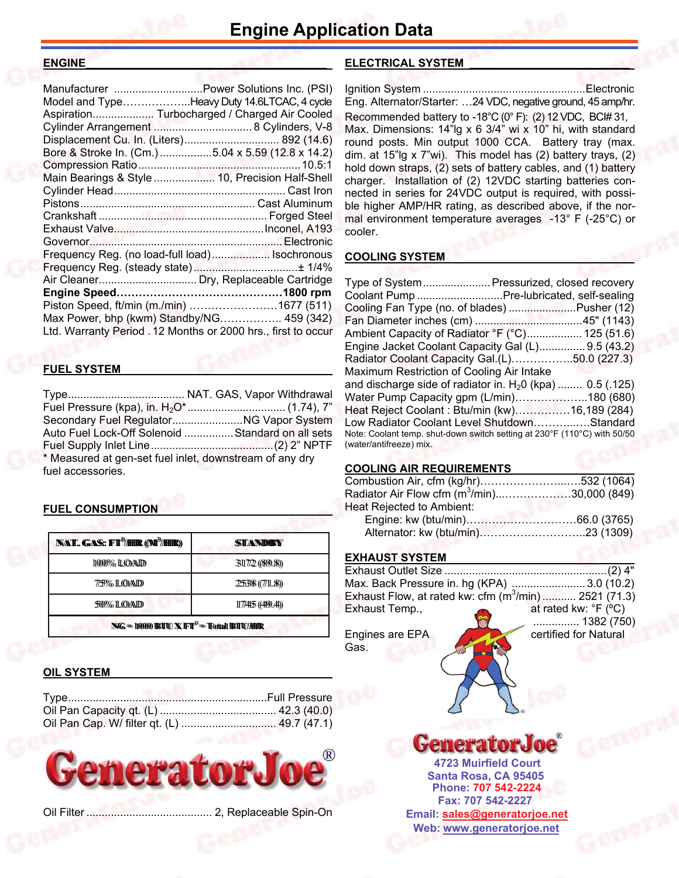#### **ENGINE\_\_\_\_\_\_\_\_\_\_\_\_\_\_\_\_\_\_\_\_\_\_\_\_\_\_\_\_\_\_\_\_\_\_\_\_\_\_\_**

| Manufacturer  Power Solutions Inc. (PSI)                      |  |
|---------------------------------------------------------------|--|
| Model and TypeHeavy Duty 14.6LTCAC, 4 cycle                   |  |
| Aspiration Turbocharged / Charged Air Cooled                  |  |
| Cylinder Arrangement  8 Cylinders, V-8                        |  |
| Displacement Cu. In. (Liters) 892 (14.6)                      |  |
| Bore & Stroke In. (Cm.)5.04 x 5.59 (12.8 x 14.2)              |  |
|                                                               |  |
| Main Bearings & Style  10, Precision Half-Shell               |  |
|                                                               |  |
|                                                               |  |
|                                                               |  |
|                                                               |  |
|                                                               |  |
| Frequency Reg. (no load-full load) Isochronous                |  |
|                                                               |  |
| Air Cleaner Dry, Replaceable Cartridge                        |  |
|                                                               |  |
| Piston Speed, ft/min (m./min) 1677 (511)                      |  |
| Max Power, bhp (kwm) Standby/NG 459 (342)                     |  |
| Ltd. Warranty Period . 12 Months or 2000 hrs., first to occur |  |
|                                                               |  |

#### **FUEL SYSTEM \_\_\_\_\_\_\_\_\_\_\_\_\_\_\_\_\_\_\_\_\_\_\_\_\_\_\_\_\_\_\_\_\_**

Type ...................................... NAT. GAS, Vapor Withdrawal Fuel Pressure (kpa), in. H<sub>2</sub>O\* ................................. (1.74), 7" Secondary Fuel Regulator ....................... NG Vapor System Auto Fuel Lock-Off Solenoid ................ Standard on all sets Fuel Supply Inlet Line ........................................ (2) 2" NPTF \* Measured at gen-set fuel inlet, downstream of any dry fuel accessories.

### **FUEL CONSUMPTION**

| <b>NAT. GAS: FT<sup>3</sup>/HIR (M<sup>3</sup>/HIR)</b>                                                                                                                                                                                     | STANDBY             |  |
|---------------------------------------------------------------------------------------------------------------------------------------------------------------------------------------------------------------------------------------------|---------------------|--|
| 1000% LOAD                                                                                                                                                                                                                                  | 31772(89.8)         |  |
| 775% ILOAID                                                                                                                                                                                                                                 | 25388 ((7/11.88))   |  |
| 50% LOAD                                                                                                                                                                                                                                    | $117/45$ ((449.44)) |  |
| $\mathbf{N} \mathbf{G} = 10000 \mathbf{B} \mathbf{I} \mathbf{I} \mathbf{U} \mathbf{X} \mathbf{F} \mathbf{I}^3 = \mathbf{T} \mathbf{A} \mathbf{t} \mathbf{a} \mathbf{l} \mathbf{B} \mathbf{I} \mathbf{U} / \mathbf{H} \mathbf{I} \mathbf{R}$ |                     |  |

#### **OIL SYSTEM**



Oil Filter ......................................... 2, Replaceable Spin-On

#### **ELECTRICAL SYSTEM \_\_\_\_\_\_\_\_\_\_\_\_\_\_\_\_\_\_\_\_\_\_\_\_\_\_**

Ignition System ..................................................... Electronic Eng. Alternator/Starter: …24 VDC, negative ground, 45 amp/hr. Recommended battery to -18°C (0° F): (2) 12 VDC, BC# 31, Max. Dimensions: 14"lg x 6 3/4" wi x 10" hi, with standard round posts. Min output 1000 CCA. Battery tray (max. dim. at 15"lg x 7"wi). This model has (2) battery trays, (2) hold down straps, (2) sets of battery cables, and (1) battery charger. Installation of (2) 12VDC starting batteries connected in series for 24VDC output is required, with possible higher AMP/HR rating, as described above, if the normal environment temperature averages -13° F (-25°C) or cooler.

#### **COOLING SYSTEM**

|                                           | Type of System Pressurized, closed recovery                              |
|-------------------------------------------|--------------------------------------------------------------------------|
|                                           | Coolant Pump  Pre-lubricated, self-sealing                               |
|                                           | Cooling Fan Type (no. of blades) Pusher (12)                             |
|                                           |                                                                          |
|                                           | Ambient Capacity of Radiator °F (°C) 125 (51.6)                          |
|                                           | Engine Jacket Coolant Capacity Gal (L) 9.5 (43.2)                        |
|                                           | Radiator Coolant Capacity Gal.(L)50.0 (227.3)                            |
| Maximum Restriction of Cooling Air Intake |                                                                          |
|                                           | and discharge side of radiator in. $H20$ (kpa)  0.5 (.125)               |
|                                           | Water Pump Capacity gpm (L/min)180 (680)                                 |
|                                           | Heat Reject Coolant: Btu/min (kw)16,189 (284)                            |
|                                           | Low Radiator Coolant Level ShutdownStandard                              |
|                                           | Note: Coolant temp. shut-down switch setting at 230°F (110°C) with 50/50 |
| (water/antifreeze) mix.                   |                                                                          |

#### **COOLING AIR REQUIREMENTS**

| Combustion Air, cfm (kg/hr)532 (1064)                   |  |
|---------------------------------------------------------|--|
| Radiator Air Flow cfm (m <sup>3</sup> /min)30,000 (849) |  |
| Heat Rejected to Ambient:                               |  |
|                                                         |  |
|                                                         |  |

#### **EXHAUST SYSTEM**

|                | Max. Back Pressure in. hg (KPA) 3.0 (10.2)             |
|----------------|--------------------------------------------------------|
|                | Exhaust Flow, at rated kw: cfm $(m^3/min)$ 2521 (71.3) |
| Exhaust Temp., | at rated kw: $\degree$ F ( $\degree$ C)                |
|                | 8                                                      |

Gas.

Engines are EPA certified for Natural

## Generato

**Santa Rosa, CA 95405 4723 Muirfield Court Fax: 707 542-2227 Phone: 707 542-2224 Web: [www.generatorjoe.net](http://www.generatorjoe.net) Email: [sales@generatorjoe.net](mailto:sales@generatorjoe.net?subject=Your%20products)**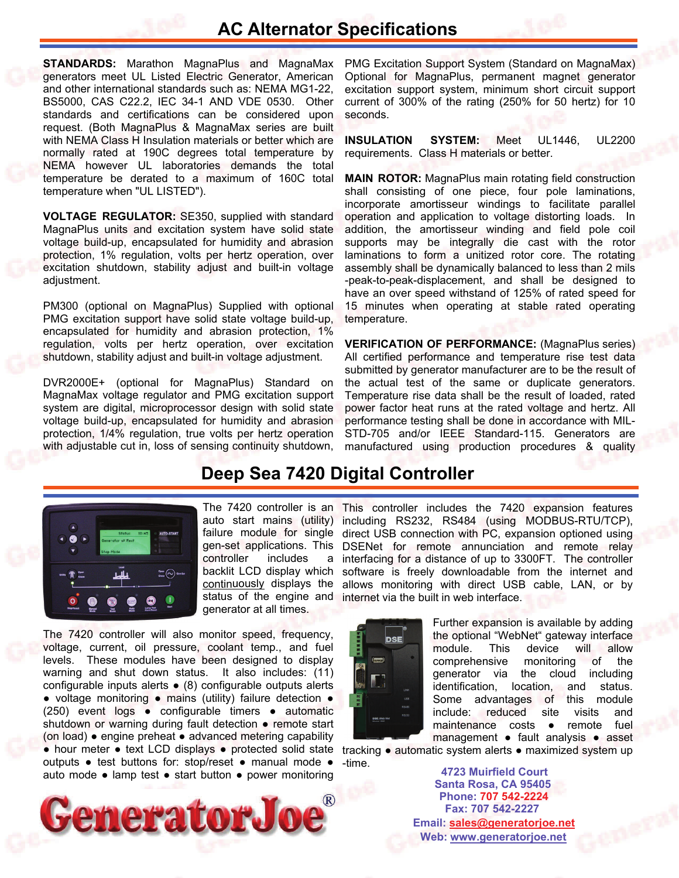## **AC Alternator Specifications**

**STANDARDS:** Marathon MagnaPlus and MagnaMax generators meet UL Listed Electric Generator, American and other international standards such as: NEMA MG1-22, BS5000, CAS C22.2, IEC 34-1 AND VDE 0530. Other standards and certifications can be considered upon request. (Both MagnaPlus & MagnaMax series are built with NEMA Class H Insulation materials or better which are normally rated at 190C degrees total temperature by NEMA however UL laboratories demands the total temperature be derated to a maximum of 160C total temperature when "UL LISTED").

**VOLTAGE REGULATOR:** SE350, supplied with standard MagnaPlus units and excitation system have solid state voltage build-up, encapsulated for humidity and abrasion protection, 1% regulation, volts per hertz operation, over excitation shutdown, stability adjust and built-in voltage adjustment.

PM300 (optional on MagnaPlus) Supplied with optional PMG excitation support have solid state voltage build-up, encapsulated for humidity and abrasion protection, 1% regulation, volts per hertz operation, over excitation shutdown, stability adjust and built-in voltage adjustment.

DVR2000E+ (optional for MagnaPlus) Standard on MagnaMax voltage regulator and PMG excitation support system are digital, microprocessor design with solid state voltage build-up, encapsulated for humidity and abrasion protection, 1/4% regulation, true volts per hertz operation with adjustable cut in, loss of sensing continuity shutdown,

PMG Excitation Support System (Standard on MagnaMax) Optional for MagnaPlus, permanent magnet generator excitation support system, minimum short circuit support current of 300% of the rating (250% for 50 hertz) for 10 seconds.

**INSULATION SYSTEM:** Meet UL1446, UL2200 requirements. Class H materials or better.

**MAIN ROTOR:** MagnaPlus main rotating field construction shall consisting of one piece, four pole laminations, incorporate amortisseur windings to facilitate parallel operation and application to voltage distorting loads. In addition, the amortisseur winding and field pole coil supports may be integrally die cast with the rotor laminations to form a unitized rotor core. The rotating assembly shall be dynamically balanced to less than 2 mils -peak-to-peak-displacement, and shall be designed to have an over speed withstand of 125% of rated speed for 15 minutes when operating at stable rated operating temperature.

**VERIFICATION OF PERFORMANCE:** (MagnaPlus series) All certified performance and temperature rise test data submitted by generator manufacturer are to be the result of the actual test of the same or duplicate generators. Temperature rise data shall be the result of loaded, rated power factor heat runs at the rated voltage and hertz. All performance testing shall be done in accordance with MIL-STD-705 and/or IEEE Standard-115. Generators are manufactured using production procedures & quality

## **Deep Sea 7420 Digital Controller**



auto start mains (utility) controller includes a backlit LCD display which continuously displays the status of the engine and generator at all times.

The 7420 controller will also monitor speed, frequency, voltage, current, oil pressure, coolant temp., and fuel levels. These modules have been designed to display warning and shut down status. It also includes: (11) configurable inputs alerts ● (8) configurable outputs alerts ● voltage monitoring ● mains (utility) failure detection ● (250) event logs ● configurable timers ● automatic shutdown or warning during fault detection • remote start (on load) ● engine preheat ● advanced metering capability ● hour meter ● text LCD displays ● protected solid state outputs ● test buttons for: stop/reset ● manual mode ● auto mode ● lamp test ● start button ● power monitoring



The 7420 controller is an This controller includes the 7420 expansion features including RS232, RS484 (using MODBUS-RTU/TCP), failure module for single direct USB connection with PC, expansion optioned using gen-set applications. This DSENet for remote annunciation and remote relay interfacing for a distance of up to 3300FT. The controller software is freely downloadable from the internet and allows monitoring with direct USB cable, LAN, or by internet via the built in web interface.



Further expansion is available by adding the optional "WebNet" gateway interface module. This device will allow comprehensive monitoring of the generator via the cloud including identification, location, and status. Some advantages of this module include: reduced site visits and maintenance costs ● remote fuel management ● fault analysis ● asset

tracking ● automatic system alerts ● maximized system up -time.

**Santa Rosa, CA 95405 4723 Muirfield Court Fax: 707 542-2227 Phone: 707 542-2224 Web: [www.generatorjoe.net](http://www.generatorjoe.net)  Email: [sales@generatorjoe.net](mailto:sales@generatorjoe.net?subject=Your%20products)**